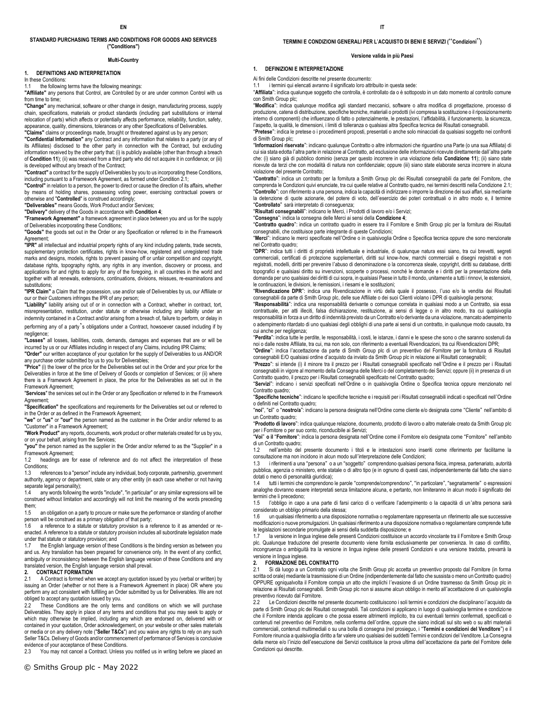### **STANDARD PURCHASING TERMS AND CONDITIONS FOR GOODS AND SERVICES ("Conditions")**

## **Multi-Country**

### **1. DEFINITIONS AND INTERPRETATION**

In these Conditions:

1.1 the following terms have the following meanings:

**"Affiliate"** any persons that Control, are Controlled by or are under common Control with us from time to time:

**"Change"** any mechanical, software or other change in design, manufacturing process, supply chain, specifications, materials or product standards (including part substitutions or internal relocation of parts) which affects or potentially affects performance, reliability, function, safety, appearance, quality, dimensions, tolerances or any other Specifications of Deliverables.

**"Claims"** claims or proceedings made, brought or threatened against us by any person;

**"Confidential Information"** any Contract and any information that relates to a party (or any of its Affiliates) disclosed to the other party in connection with the Contract, but excluding information received by the other party that: (i) is publicly available (other than through a breach of **Condition 11**); (ii) was received from a third party who did not acquire it in confidence; or (iii) is developed without any breach of the Contract;

**"Contract"** a contract for the supply of Deliverables by you to us incorporating these Conditions, including pursuant to a Framework Agreement, as formed under Condition 2.1;

**"Control"** in relation to a person, the power to direct or cause the direction of its affairs, whether by means of holding shares, possessing voting power, exercising contractual powers or otherwise and "**Controlled**" is construed accordingly;

**"Deliverables"** means Goods, Work Product and/or Services;

**"Delivery"** delivery of the Goods in accordance with **Condition 4**;

**"Framework Agreement"** a framework agreement in place between you and us for the supply of Deliverables incorporating these Conditions;

**"Goods"** the goods set out in the Order or any Specification or referred to in the Framework

Agreement;<br>**"IPR"** all intellectual and industrial property rights of any kind including patents, trade secrets, supplementary protection certificates, rights in know-how, registered and unregistered trade marks and designs, models, rights to prevent passing off or unfair competition and copyright, database rights, topography rights, any rights in any invention, discovery or process, and applications for and rights to apply for any of the foregoing, in all countries in the world and together with all renewals, extensions, continuations, divisions, reissues, re-examinations and substitutions;

**"IPR Claim"** a Claim that the possession, use and/or sale of Deliverables by us, our Affiliate or our or their Customers infringes the IPR of any person;

**"Liability"** liability arising out of or in connection with a Contract, whether in contract, tort, misrepresentation, restitution, under statute or otherwise including any liability under an indemnity contained in a Contract and/or arising from a breach of, failure to perform, or delay in

performing any of a party's obligations under a Contract, howsoever caused including if by negligence; **"Losses"** all losses, liabilities, costs, demands, damages and expenses that are or will be

incurred by us or our Affiliates including in respect of any Claims, including IPR Claims;

**"Order"** our written acceptance of your quotation for the supply of Deliverables to us AND/OR any purchase order submitted by us to you for Deliverables;

**"Price"** (i) the lower of the price for the Deliverables set out in the Order and your price for the Deliverables in force at the time of Delivery of Goods or completion of Services; or (ii) where there is a Framework Agreement in place, the price for the Deliverables as set out in the Framework Agreement;

"**Services**" the services set out in the Order or any Specification or referred to in the Framework Agreement;

**"Specification"** the specifications and requirements for the Deliverables set out or referred to in the Order or as defined in the Framework Agreement;

**"we"** or **"us"** or **"our"** the person named as the customer in the Order and/or referred to as "Customer" in a Framework Agreement;

**"Work Product"** any reports, documents, work product or other materials created for us by you, or on your behalf, arising from the Services;

**"you"** the person named as the supplier in the Order and/or referred to as the "Supplier" in a Framework Agreement;

1.2 headings are for ease of reference and do not affect the interpretation of these

Conditions;<br>1.3 refer references to a "person" include any individual, body corporate, partnership, government authority, agency or department, state or any other entity (in each case whether or not having separate legal personality);

1.4 any words following the words "include", "in particular" or any similar expressions will be construed without limitation and accordingly will not limit the meaning of the words preceding them;

1.5 an obligation on a party to procure or make sure the performance or standing of another person will be construed as a primary obligation of that party;

1.6 a reference to a statute or statutory provision is a reference to it as amended or reenacted. A reference to a statute or statutory provision includes all subordinate legislation made under that statute or statutory provision; and<br>1.7 the English language version of these

the English language version of these Conditions is the binding version as between you and us. Any translation has been prepared for convenience only. In the event of any conflict, ambiguity or inconsistency between the English language version of these Conditions and any translated version, the English language version shall prevail.

## **2. CONTRACT FORMATION**

A Contract is formed when we accept any quotation issued by you (verbal or written) by issuing an Order (whether or not there is a Framework Agreement in place) OR where you perform any act consistent with fulfilling an Order submitted by us for Deliverables. We are not obliged to accept any quotation issued by you.

2.2 These Conditions are the only terms and conditions on which we will purchase Deliverables. They apply in place of any terms and conditions that you may seek to apply or which may otherwise be implied, including any which are endorsed on, delivered with or contained in your quotation, Order acknowledgement, on your website or other sales materials or media or on any delivery note ("**Seller T&Cs**") and you waive any rights to rely on any such Seller T&Cs. Delivery of Goods and/or commencement of performance of Services is conclusive evidence of your acceptance of these Conditions.

2.3 You may not cancel a Contract. Unless you notified us in writing before we placed an

### **TERMINI E CONDIZIONI GENERALI PER L**'**ACQUISTO DI BENI E SERVIZI (**"**Condizioni**"**)**

### **Versione valida in più Paesi**

### **1. DEFINIZIONI E INTERPRETAZIONE**

Ai fini delle Condizioni descritte nel presente documento:

1.1 i termini qui elencati avranno il significato loro attribuito in questa sede:

"**Affiliata**": indica qualunque soggetto che controlla, è controllato da o è sottoposto in un dato momento al controllo comune con Smith Group plc;

produzione, catena di distribuzione, specifiche tecniche, materiali o prodotti (ivi compresa la sostituzione o il riposizionamento interno di componenti) che influenzano di fatto o potenzialmente, le prestazioni, l'affidabilità, il funzionamento, la sicurezza, l'aspetto, la qualità, le dimensioni, i limiti di tolleranza o qualsiasi altra Specifica tecnica dei Risultati consegnabili.

di Smith Group plc;

cui sia stata edotta l'altra parte in relazione al Contratto, ad esclusione delle informazioni ricevute direttamente dall'altra parte che: (i) siano già di pubblico dominio (senza per questo incorrere in una violazione della **Condizione 11**); (ii) siano state ricevute da terzi che con modalità di natura non confidenziale; oppure (iii) siano state elaborate senza incorrere in alcuna violazione del presente Contratto;

comprenda le Condizioni quivi enunciate, tra cui quelle relative al Contratto quadro, nei termini descritti nella Condizione 2.1; "**Controllato**" sarà interpretato di conseguenza;

"**Risultati consegnabili**": indicano le Merci, i Prodotti di lavoro e/o i Servizi;

"**Consegna**": indica la consegna delle Merci ai sensi della **Condizione 4**;

consegnabili, che costituisce parte integrante di queste Condizioni;

nel Contratto quadro;

"**DPR**": indica tutti i diritti di proprietà intellettuale e industriale, di qualunque natura essi siano, tra cui brevetti, segreti commerciali, certificati di protezione supplementari, diritti sul know-how, marchi commerciali e disegni registrati e non registrati, modelli, diritti per prevenire l'abuso di denominazione o la concorrenza sleale, copyright, diritti su database, diritti topografici e qualsiasi diritto su invenzioni, scoperte o processi, nonché le domande e i diritti per la presentazione della domanda per uno qualsiasi dei diritti di cui sopra, in qualsiasi Paese in tutto il mondo, unitamente a tutti i rinnovi, le estensioni, le continuazioni, le divisioni, le riemissioni, i riesami e le sostituzioni;

"**Rivendicazione DPR**": indica una Rivendicazione in virtù della quale il possesso, l'uso e/o la vendita dei Risultati consegnabili da parte di Smith Group plc, delle sue Affiliate o dei suoi Clienti violano i DPR di qualsivoglia persona;

"**Responsabilità**": indica una responsabilità derivante o comunque correlata in qualsiasi modo a un Contratto, sia essa contrattuale, per atti illeciti, falsa dichiarazione, restituzione, ai sensi di legge o in altro modo, tra cui qualsivoglia responsabilità in forza a un diritto di indennità previsto da un Contratto e/o derivante da una violazione, mancato adempimento o adempimento ritardato di uno qualsiasi degli obblighi di una parte ai sensi di un contratto, in qualunque modo causato, tra cui anche per negligenza;

"**Perdita**": indica tutte le perdite, le responsabilità, i costi, le istanze, i danni e le spese che sono o che saranno sostenuti da noi o dalle nostre Affiliate, tra cui, ma non solo, con riferimento a eventuali Rivendicazioni, tra cui Rivendicazioni DPR;

"**Ordine**": indica l'accettazione da parte di Smith Group plc di un preventivo del Fornitore per la fornitura di Risultati consegnabili E/O qualsiasi ordine d'acquisto da inviato da Smith Group plc in relazione ai Risultati consegnabili;

"**Prezzo**": si intende (i) il minore tra il prezzo per i Risultati consegnabili specificato nell'Ordine e il prezzo per i Risultati consegnabili in vigore al momento della Consegna delle Merci o del completamento dei Servizi; oppure (ii) in presenza di un Contratto quadro, il prezzo per i Risultati consegnabili specificato nel Contratto quadro;

"**Servizi**": indicano i servizi specificati nell'Ordine o in qualsivoglia Ordine o Specifica tecnica oppure menzionato nel Contratto quadro;

"**Specifiche tecniche**": indicano le specifiche tecniche e i requisiti per i Risultati consegnabili indicati o specificati nell'Ordine o definiti nel Contratto quadro;

"**noi**", "**ci**" o "**nostro/a**": indicano la persona designata nell'Ordine come cliente e/o designata come "Cliente" nell'ambito di un Contratto quadro;

"**Prodotto di lavoro**": indica qualunque relazione, documento, prodotto di lavoro o altro materiale creato da Smith Group plc per i Fornitore o per suo conto, riconducibile ai Servizi;

"**Voi**" **o il** "**Fornitore**": indica la persona designata nell'Ordine come il Fornitore e/o designata come "Fornitore" nell'ambito di un Contratto quadro;<br>1.2 nell'ambito del

1.2 nell'ambito del presente documento i titoli e le intestazioni sono inseriti come riferimento per facilitarne la consultazione ma non incidono in alcun modo sull'interpretazione delle Condizioni;

1.3 i riferimenti a una "persona" o a un "soggetto" comprendono qualsiasi persona fisica, impresa, partenariato, autorità pubblica, agenzia o ministero, ente statale o di altro tipo (e in ognuno di questi casi, indipendentemente dal fatto che siano dotati o meno di personalità giuridica);

1.4 tutti i termini che comprendono le parole "comprende/comprendono", "in particolare", "segnatamente" o espressioni analoghe dovranno essere interpretati senza limitazione alcuna, e pertanto, non limiteranno in alcun modo il significato dei termini che li precedono;

1.5 l'obbligo in capo a una parte di farsi carico di o verificare l'adempimento o la capacità di un'altra persona sarà considerato un obbligo primario della stessa;

1.6 un qualsiasi riferimento a una disposizione normativa o regolamentare rappresenta un riferimento alle sue successive modificazioni o nuove promulgazioni. Un qualsiasi riferimento a una disposizione normativa o regolamentare comprende tutte le legislazioni secondarie promulgate ai sensi della suddetta disposizione; e

la versione in lingua inglese delle presenti Condizioni costituisce un accordo vincolante tra il Fornitore e Smith Group plc. Qualunque traduzione del presente documento viene fornita esclusivamente per convenienza. In caso di conflitto, incongruenza o ambiguità tra la versione in lingua inglese delle presenti Condizioni e una versione tradotta, prevarrà la versione in lingua inglese.

# **2. FORMAZIONE DEL CONTRATTO**

2.1 Si dà luogo a un Contratto ogni volta che Smith Group plc accetta un preventivo proposto dal Fornitore (in forma scritta od orale) mediante la trasmissione di un Ordine (indipendentemente dal fatto che sussista o meno un Contratto quadro) OPPURE ogniqualvolta il Fornitore compia un atto che implichi l'evasione di un Ordine trasmesso da Smith Group plc in relazione ai Risultati consegnabili. Smith Group plc non si assume alcun obbligo in merito all'accettazione di un qualsivoglia preventivo ricevuto dal Fornitore.

Le Condizioni descritte nel presente documento costituiscono i soli termini e condizioni che disciplinano l'acquisto da parte di Smith Group plc dei Risultati consegnabili. Tali condizioni si applicano in luogo di qualsivoglia termine e condizione che il Fornitore intenda applicare o che possa essere altrimenti implicito, tra cui eventuali termini confermati, specificati o contenuti nel preventivo del Fornitore, nella conferma dell'ordine, oppure che siano indicati sul sito web o su altri materiali commerciali, contenuti multimediali o su una bolla di consegna (nel prosieguo, i "**Termini e condizioni del Venditore**") e il Fornitore rinuncia a qualsivoglia diritto a far valere uno qualsiasi dei suddetti Termini e condizioni del Venditore. La Consegna della merce e/o l'inizio dell'esecuzione dei Servizi costituisce la prova ultima dell'accettazione da parte del Fornitore delle Condizioni qui descritte.

"**Modifica**": indica qualunque modifica agli standard meccanici, software o altra modifica di progettazione, processo di

"**Pretese**": indica le pretese o i procedimenti proposti, presentati o anche solo minacciati da qualsiasi soggetto nei confronti

"**Informazioni riservate**": indicano qualunque Contratto o altre informazioni che riguardino una Parte (o una sua Affiliata) di

"**Contratto**": indica un contratto per la fornitura a Smith Group plc dei Risultati consegnabili da parte del Fornitore, che "**Controllo**": con riferimento a una persona, indica la capacità di indirizzare o imporre la direzione dei suoi affari, sia mediante la detenzione di quote azionarie, del potere di voto, dell'esercizio dei poteri contrattuali o in altro modo e, il termine

"**Contratto quadro**": indica un contratto quadro in essere tra il Fornitore e Smith Group plc per la fornitura dei Risultati

"**Merci**": indicano le merci specificate nell'Ordine o in qualsivoglia Ordine o Specifica tecnica oppure che sono menzionate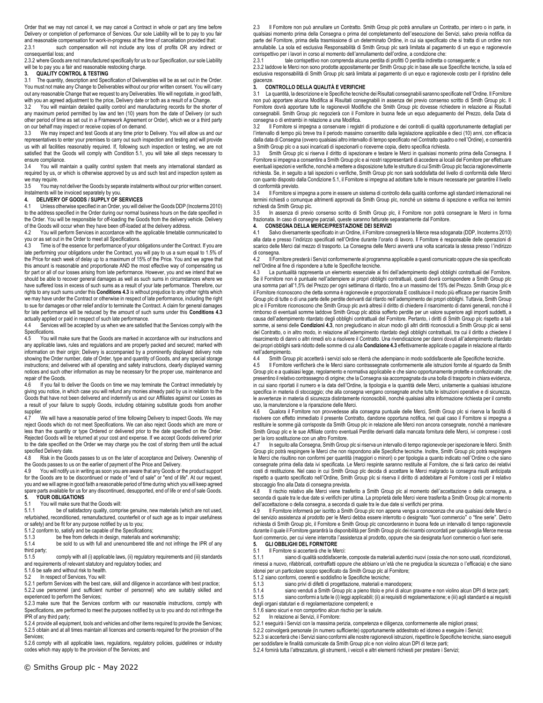Order that we may not cancel it, we may cancel a Contract in whole or part any time before Delivery or completion of performance of Services. Our sole Liability will be to pay to you fair and reasonable compensation for work-in-progress at the time of cancellation provided that:<br>2.3.1 such compensation will not include any loss of profits OR any indirect such compensation will not include any loss of profits OR any indirect or consequential loss; and

2.3.2 where Goods are not manufactured specifically for us to our Specification, our sole Liability will be to pay you a fair and reasonable restocking charge.

### **3. QUALITY CONTROL & TESTING**

3.1 The quantity, description and Specification of Deliverables will be as set out in the Order. You must not make any Change to Deliverables without our prior written consent. You will carry out any reasonable Change that we request to any Deliverables. We will negotiate, in good faith, with you an agreed adjustment to the price, Delivery date or both as a result of a Change.

3.2 You will maintain detailed quality control and manufacturing records for the shorter of any maximum period permitted by law and ten (10) years from the date of Delivery (or such other period of time as set out in a Framework Agreement or Order), which we or a third party on our behalf may inspect or receive copies of on demand.

3.3 We may inspect and test Goods at any time prior to Delivery. You will allow us and our representatives to enter your premises to carry out such inspection and testing and will provide us with all facilities reasonably required. If, following such inspection or testing, we are not satisfied that the Goods will comply with Condition 5.1, you will take all steps necessary to ensure compliance.

You will maintain a quality control system that meets any international standard as required by us, or which is otherwise approved by us and such test and inspection system as we may require.

3.5 You may not deliver the Goods by separate instalments without our prior written consent. Instalments will be invoiced separately by you.

# **4. DELIVERY OF GOODS / SUPPLY OF SERVICES**

4.1 Unless otherwise specified in an Order, you will deliver the Goods DDP (Incoterms 2010) to the address specified in the Order during our normal business hours on the date specified in the Order. You will be responsible for off-loading the Goods from the delivery vehicle. Delivery of the Goods will occur when they have been off-loaded at the delivery address.

4.2 You will perform Services in accordance with the applicable timetable communicated to you or as set out in the Order to meet all Specifications.<br>4.3 Time is of the essence for performance of your of

Time is of the essence for performance of your obligations under the Contract. If you are late performing your obligations under the Contract, you will pay to us a sum equal to 1.5% of the Price for each week of delay up to a maximum of 15% of the Price. You and we agree that this amount is reasonable and proportionate AND the most effective way of compensating us for part or all of our losses arising from late performance. However, you and we intend that we should be able to recover general damages as well as such sums in circumstances where we have suffered loss in excess of such sums as a result of your late performance. Therefore, our rights to any such sums under this **Conditions 4.3** is without prejudice to any other rights which we may have under the Contract or otherwise in respect of late performance, including the right to sue for damages or other relief and/or to terminate the Contract. A claim for general damages for late performance will be reduced by the amount of such sums under this **Conditions 4.3**  actually applied or paid in respect of such late performance.

Services will be accepted by us when we are satisfied that the Services comply with the Specifications.

4.5 You will make sure that the Goods are marked in accordance with our instructions and any applicable laws, rules and regulations and are properly packed and secured; marked with information on their origin; Delivery is accompanied by a prominently displayed delivery note showing the Order number, date of Order, type and quantity of Goods, and any special storage instructions; and delivered with all operating and safety instructions, clearly displayed warning notices and such other information as may be necessary for the proper use, maintenance and repair of the Goods.<br>4.6 If you fail to

4.6 If you fail to deliver the Goods on time we may terminate the Contract immediately by giving you notice, in which case you will refund any monies already paid by us in relation to the Goods that have not been delivered and indemnify us and our Affiliates against our Losses as a result of your failure to supply Goods, including obtaining substitute goods from another supplier.<br>4.7

We will have a reasonable period of time following Delivery to inspect Goods. We may reject Goods which do not meet Specifications. We can also reject Goods which are more or less than the quantity or type Ordered or delivered prior to the date specified on the Order. Rejected Goods will be returned at your cost and expense. If we accept Goods delivered prior to the date specified on the Order we may charge you the cost of storing them until the actual specified Delivery date.

4.8 Risk in the Goods passes to us on the later of acceptance and Delivery. Ownership of the Goods passes to us on the earlier of payment of the Price and Delivery.<br>4.9 You will notify us in writing as soon you are aware that any Goods or

You will notify us in writing as soon you are aware that any Goods or the product support for the Goods are to be discontinued or made of "end of sale" or "end of life". At our request, you and we will agree in good faith a reasonable period of time during which you will keep agreed spare parts available for us for any discontinued, desupported, end of life or end of sale Goods. **5. YOUR OBLIGATIONS**<br>5.1 You will make sure the

5.1 You will make sure that the Goods will:<br>5.1.1 be of satisfactory quality, compi

be of satisfactory quality, comprise genuine, new materials (which are not used, refurbished, reconditioned, remanufactured, counterfeit or of such age as to impair usefulness or safety) and be fit for any purpose notified by us to you;

5.1.2 conform to, satisfy and be capable of the Specifications;

5.1.3 be free from defects in design, materials and workmanship;<br>5.1.4 be sold to us with full and unencumbered title and not infri-

be sold to us with full and unencumbered title and not infringe the IPR of any third party;

5.1.5 comply with all (i) applicable laws, (ii) regulatory requirements and (iii) standards and requirements of relevant statutory and regulatory bodies; and

5.1.6 be safe and without risk to health.

5.2 In respect of Services, You will:

5.2.1 perform Services with the best care, skill and diligence in accordance with best practice; 5.2.2 use personnel (and sufficient number of personnel) who are suitably skilled and experienced to perform the Services;

5.2.3 make sure that the Services conform with our reasonable instructions, comply with Specifications, are performed to meet the purposes notified by us to you and do not infringe the IPR of any third party;

5.2.4 provide all equipment, tools and vehicles and other items required to provide the Services; 5.2.5 obtain and at all times maintain all licences and consents required for the provision of the Services;

5.2.6 comply with all applicable laws, regulations, regulatory policies, guidelines or industry codes which may apply to the provision of the Services; and

2.3 Il Fornitore non può annullare un Contratto. Smith Group plc potrà annullare un Contratto, per intero o in parte, in qualsiasi momento prima della Consegna o prima del completamento dell'esecuzione dei Servizi, salvo previa notifica da parte del Fornitore, prima della trasmissione di un determinato Ordine, in cui sia specificato che si tratta di un ordine non annullabile. La sola ed esclusiva Responsabilità di Smith Group plc sarà limitata al pagamento di un equo e ragionevole corrispettivo per i lavori in corso al momento dell'annullamento dell'ordine, a condizione che:

2.3.1 tale corrispettivo non comprenda alcuna perdita di profitti O perdita indiretta o conseguente; e

2.3.2 laddove le Merci non sono prodotte appositamente per Smith Group plc in base alle sue Specifiche tecniche, la sola ed esclusiva responsabilità di Smith Group plc sarà limitata al pagamento di un equo e ragionevole costo per il ripristino delle giacenze.

# **3. CONTROLLO DELLA QUALITÀ E VERIFICHE**

La quantità, la descrizione e le Specifiche tecniche dei Risultati consegnabili saranno specificate nell'Ordine. Il Fornitore non può apportare alcuna Modifica ai Risultati consegnabili in assenza del previo consenso scritto di Smith Group plc. Il Fornitore dovrà apportare tutte le ragionevoli Modifiche che Smith Group plc dovesse richiedere in relazione ai Risultati consegnabili. Smith Group plc negozierà con il Fornitore in buona fede un equo adeguamento del Prezzo, della Data di consegna o di entrambi in relazione a una Modifica.

3.2 Il Fornitore si impegna a conservare i registri di produzione e dei controlli di qualità opportunamente dettagliati per l'intervallo di tempo più breve tra il periodo massimo consentito dalla legislazione applicabile e dieci (10) anni, con efficacia dalla data di Consegna (ovvero qualsiasi altro intervallo di tempo specificato nel Contratto quadro o nell'Ordine), e consentirà a Smith Group plc o a suoi incaricati di ispezionarli o riceverne copia, dietro specifica richiesta.

3.3 Smith Group plc si riserva il diritto di ispezionare e testare le Merci in qualsiasi momento prima della Consegna. Il Fornitore si impegna a consentire a Smith Group plc e ai nostri rappresentanti di accedere ai locali del Fornitore per effettuare eventuali ispezioni e verifiche, nonché a mettere a disposizione tutte le strutture di cui Smith Group plc faccia ragionevolmente richiesta. Se, in seguito a tali ispezioni o verifiche, Smith Group plc non sarà soddisfatta del livello di conformità delle Merci con quanto disposto dalla Condizione 5.1, il Fornitore si impegna ad adottare tutte le misure necessarie per garantire il livello di conformità previsto.

3.4 Il Fornitore si impegna a porre in essere un sistema di controllo della qualità conforme agli standard internazionali nei termini richiesti o comunque altrimenti approvati da Smith Group plc, nonché un sistema di ispezione e verifica nei termini richiesti da Smith Group plc.

3.5 In assenza di previo consenso scritto di Smith Group plc, il Fornitore non potrà consegnare le Merci in forma frazionata. In caso di consegne parziali, queste saranno fatturate separatamente dal Fornitore.

### **4. CONSEGNA DELLA MERCE/PRESTAZIONE DEI SERVIZI**

4.1 Salvo diversamente specificato in un Ordine, il Fornitore consegnerà la Merce resa sdoganata (DDP, Incoterms 2010) alla data e presso l'indirizzo specificati nell'Ordine durante l'orario di lavoro. Il Fornitore è responsabile delle operazioni di scarico delle Merci dal mezzo di trasporto. La Consegna delle Merci avverrà una volta scaricata la stessa presso l'indirizzo di consegna.<br>42 Il Forre

4.2 Il Fornitore presterà i Servizi conformemente al programma applicabile a questi comunicato oppure che sia specificato nell'Ordine al fine di rispondere a tutte le Specifiche tecniche.

4.3 La puntualità rappresenta un elemento essenziale ai fini dell'adempimento degli obblighi contrattuali del Fornitore. Se il Fornitore non è puntuale nell'adempiere ai propri obblighi contrattuali, questi dovrà corrispondere a Smith Group plc una somma pari all'1,5% del Prezzo per ogni settimana di ritardo, fino a un massimo del 15% del Prezzo. Smith Group plc e il Fornitore riconoscono che detta somma è ragionevole e proporzionata E costituisce il modo più efficace per risarcire Smith Group plc di tutte o di una parte delle perdite derivanti dal ritardo nell'adempimento dei propri obblighi. Tuttavia, Smith Group plc e il Fornitore riconoscono che Smith Group plc avrà altresì il diritto di chiedere il risarcimento di danni generali, nonché il rimborso di eventuali somme laddove Smith Group plc abbia sofferto perdite per un valore superiore agli importi suddetti, a causa dell'adempimento ritardato degli obblighi contrattuali del Fornitore. Pertanto, i diritti di Smith Group plc rispetto a tali somme, ai sensi delle **Condizioni 4.3**, non pregiudicano in alcun modo gli altri diritti riconosciuti a Smith Group plc ai sensi del Contratto, o in altro modo, in relazione all'adempimento ritardato degli obblighi contrattuali, tra cui il diritto a chiedere il risarcimento di danni o altri rimedi e/o a risolvere il Contratto. Una rivendicazione per danni dovuti all'adempimento ritardato dei propri obblighi sarà ridotto delle somme di cui alla **Condizione 4.3** effettivamente applicate o pagate in relazione al ritardo nell'adempimento.

4.4 Smith Group plc accetterà i servizi solo se riterrà che adempiano in modo soddisfacente alle Specifiche tecniche.<br>4.5 Il Fornitore verificherà che le Merci siano contrassegnate conformemente alle istruzioni fornite al

Il Fornitore verificherà che le Merci siano contrassegnate conformemente alle istruzioni fornite al riguardo da Smith Group plc e a qualsiasi legge, regolamento e normativa applicabile e che siano opportunamente protette e confezionate; che presentino il relativo contrassegno di origine; che la Consegna sia accompagnata da una bolla di trasporto in chiara evidenza, in cui siano riportati il numero e la data dell'Ordine, la tipologia e la quantità delle Merci, unitamente a qualsiasi istruzione specifica in materia di stoccaggio; che alla consegna vengano consegnate anche tutte le istruzioni operative e di sicurezza, le avvertenze in materia di sicurezza distintamente riconoscibili, nonché qualsiasi altra informazione richiesta per il corretto uso, la manutenzione e la riparazione delle Merci.

4.6 Qualora il Fornitore non provvedesse alla consegna puntuale delle Merci, Smith Group plc si riserva la facoltà di risolvere con effetto immediato il presente Contratto, dandone opportuna notifica, nel qual caso il Fornitore si impegna a restituire le somme già corrisposte da Smith Group plc in relazione alle Merci non ancora consegnate, nonché a manlevare Smith Group plc e le sue Affiliate contro eventuali Perdite derivanti dalla mancata fornitura delle Merci, ivi comprese i costi per la loro sostituzione con un altro Fornitore.

4.7 In seguito alla Consegna, Smith Group plc si riserva un intervallo di tempo ragionevole per ispezionare le Merci. Smith Group plc potrà respingere le Merci che non rispondono alle Specifiche tecniche. Inoltre, Smith Group plc potrà respingere le Merci che risultino non conformi per quantità (maggiori o minori) o per tipologia a quanto indicato nell'Ordine o che siano consegnate prima della data ivi specificata. Le Merci respinte saranno restituite al Fornitore, che si farà carico dei relativi costi di restituzione. Nel caso in cui Smith Group plc decida di accettare le Merci malgrado la consegna risulti anticipata rispetto a quanto specificato nell'Ordine, Smith Group plc si riserva il diritto di addebitare al Fornitore i costi per il relativo stoccaggio fino alla Data di consegna prevista.

4.8 Il rischio relativo alle Merci viene trasferito a Smith Group plc al momento dell'accettazione o della consegna, a seconda di quale tra le due date si verifichi per ultima. La proprietà delle Merci viene trasferita a Smith Group plc al momento dell'accettazione o della consegna, a seconda di quale tra le due date si verifichi per prima.

4.9 Il Fornitore informerà per iscritto a Smith Group plc non appena venga a conoscenza che una qualsiasi delle Merci o del servizio assistenza al prodotto per le Merci debba essere interrotto o designato "fuori commercio" o "fine serie". Dietro richiesta di Smith Group plc, il Fornitore e Smith Group plc concorderanno in buona fede un intervallo di tempo ragionevole durante il quale il Fornitore garantirà la disponibilità per Smith Group plc dei ricambi concordati per qualsivoglia Merce messa fuori commercio, per cui viene interrotta l'assistenza al prodotto, oppure che sia designata fuori commercio o fuori serie.

# **5. GLI OBBLIGHI DEL FORNITORE**<br>5.1 Il Fornitore si accerterà che le Me

5.1 Il Fornitore si accerterà che le Merci:<br>5.1.1 siano di qualità soddisfacente siano di qualità soddisfacente, composte da materiali autentici nuovi (ossia che non sono usati, ricondizionati, rimessi a nuovo, rifabbricati, contraffatti oppure che abbiano un'età che ne pregiudica la sicurezza o l'efficacia) e che siano idonei per un particolare scopo specificato da Smith Group plc al Fornitore;

5.1.2 siano conformi, coerenti e soddisfino le Specifiche tecniche;<br>5.1.3 siano privi di difetti di progettazione, materiali e ma

5.1.3 siano privi di difetti di progettazione, materiali e manodopera;<br>5.1.4 siano venduti a Smith Group plc a pieno titolo e privi di alcun

siano venduti a Smith Group plc a pieno titolo e privi di alcun gravame e non violino alcun DPI di terze parti; 5.1.5 siano conformi a tutte le (i) leggi applicabili; (ii) ai requisiti di regolamentazione; e (iii) agli standard e ai requisiti degli organi statutari e di regolamentazione competenti; e

5.1.6 siano sicuri e non comportino alcun rischio per la salute.

5.2 In relazione ai Servizi, il Fornitore:

5.2.1 eseguirà i Servizi con la massima perizia, competenza e diligenza, conformemente alle migliori prassi;

5.2.2 coinvolgerà personale (in numero sufficiente) opportunamente addestrato ed idoneo a eseguire i Servizi;

5.2.3 si accerterà che i Servizi siano conformi alle nostre ragionevoli istruzioni, rispettino le Specifiche tecniche, siano eseguiti per soddisfare le finalità comunicate da Smith Group plc e non violino alcun DPI di terze parti;

5.2.4 fornirà tutta l'attrezzatura, gli strumenti, i veicoli e altri elementi richiesti per prestare i Servizi;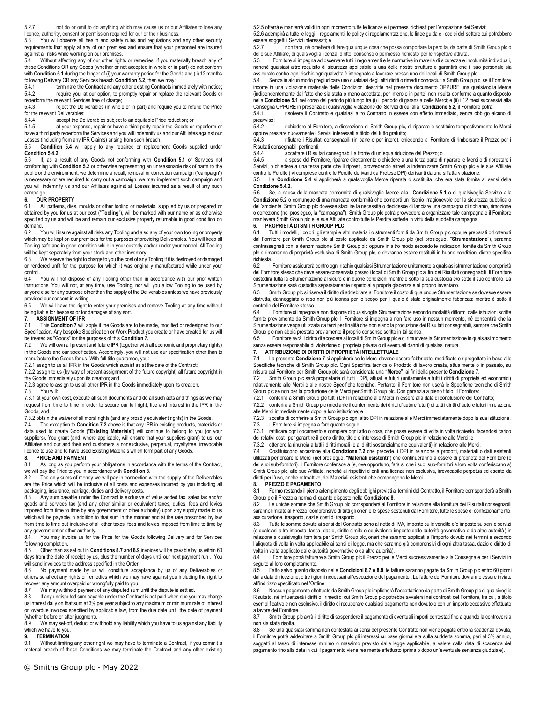5.2.7 not do or omit to do anything which may cause us or our Affiliates to lose any licence, authority, consent or permission required for our or their business.

5.3 You will observe all health and safety rules and regulations and any other security requirements that apply at any of our premises and ensure that your personnel are insured against all risks while working on our premises.

5.4 Without affecting any of our other rights or remedies, if you materially breach any of these Conditions OR any Goods (whether or not accepted in whole or in part) do not conform with **Condition 5.1** during the longer of (i) your warranty period for the Goods and (ii) 12 months following Delivery OR any Services breach **Condition 5.2**, then we may:

5.4.1 **terminate the Contract and any other existing Contracts immediately with notice;**<br>5.4.2 require you, at our option, to promptly repair or replace the relevant Goods or require you, at our option, to promptly repair or replace the relevant Goods or

reperform the relevant Services free of charge;<br>5.4.3 reject the Deliverables (in whole reject the Deliverables (in whole or in part) and require you to refund the Price for the relevant Deliverables;<br>5.4.4 accept the De

5.4.4 accept the Deliverables subject to an equitable Price reduction; or 5.4.5 at your expense, repair or have a third party repair the Goods or

at your expense, repair or have a third party repair the Goods or reperform or have a third party reperform the Services and you will indemnify us and our Affiliates against our Losses (including from any IPR Claims) arising from such breach.

5.5 **Condition 5.4** will apply to any repaired or replacement Goods supplied under **Condition 5.4.2.**

5.6 If, as a result of any Goods not conforming with **Condition 5.1** or Services not conforming with **Condition 5.2** or otherwise representing an unreasonable risk of harm to the public or the environment, we determine a recall, removal or correction campaign ("campaign") is necessary or are required to carry out a campaign, we may implement such campaign and you will indemnify us and our Affiliates against all Losses incurred as a result of any such campaign.

# **6.** OUR PROPERTY<br>6.1 All patterns, dies

All patterns, dies, moulds or other tooling or materials, supplied by us or prepared or obtained by you for us at our cost ("**Tooling**"), will be marked with our name or as otherwise specified by us and will be and remain our exclusive property returnable in good condition on demand.

6.2 You will insure against all risks any Tooling and also any of your own tooling or property which may be kept on our premises for the purposes of providing Deliverables. You will keep all Tooling safe and in good condition while in your custody and/or under your control. All Tooling will be kept separately from your stock and other inventory.

6.3 We reserve the right to charge to you the cost of any Tooling if it is destroyed or damaged or rendered unfit for the purpose for which it was originally manufactured while under your control.<br>6.4

You will not dispose of any Tooling other than in accordance with our prior written instructions. You will not, at any time, use Tooling, nor will you allow Tooling to be used by anyone else for any purpose other than the supply of the Deliverables unless we have previously provided our consent in writing.

6.5 We will have the right to enter your premises and remove Tooling at any time without being liable for trespass or for damages of any sort.

## **7. ASSIGNMENT OF IPR**

This **Condition 7** will apply if the Goods are to be made, modified or redesigned to our Specification. Any bespoke Specification or Work Product you create or have created for us will be treated as "Goods" for the purposes of this **Condition 7.**

7.2 We will own all present and future IPR (together with all economic and proprietary rights) in the Goods and our specification. Accordingly, you will not use our specification other than to manufacture the Goods for us. With full title guarantee, you:

7.2.1 assign to us all IPR in the Goods which subsist as at the date of the Contract; 7.2.2 assign to us (by way of present assignment of the future copyright) all future copyright in

the Goods immediately upon its creation; and

7.2.3 agree to assign to us all other IPR in the Goods immediately upon its creation.<br>7.3 You will:

You will:

7.3.1 at your own cost, execute all such documents and do all such acts and things as we may request from time to time in order to secure our full right, title and interest in the IPR in the Goods; and

7.3.2 obtain the waiver of all moral rights (and any broadly equivalent rights) in the Goods.

7.4 The exception to **Condition 7.2** above is that any IPR in existing products, materials or data used to create Goods ("**Existing Materials**") will continue to belong to you (or your suppliers). You grant (and, where applicable, will ensure that your suppliers grant) to us, our Affiliates and our and their end customers a nonexclusive, perpetual, royaltyfree, irrevocable licence to use and to have used Existing Materials which form part of any Goods.

### **8. PRICE AND PAYMENT**

8.1 As long as you perform your obligations in accordance with the terms of the Contract, we will pay the Price to you in accordance with **Condition 8**.<br>8.2 The only sums of money we will pay in connection **8**.

The only sums of money we will pay in connection with the supply of the Deliverables are the Price which will be inclusive of all costs and expenses incurred by you including all packaging, insurance, carriage, duties and delivery costs.<br>8.3 Any sum payable under the Contract is exclusive

8.3 Any sum payable under the Contract is exclusive of value added tax, sales tax and/or goods and services tax (and any other similar or equivalent taxes, duties, fees and levies imposed from time to time by any government or other authority) upon any supply made to us which will be payable in addition to that sum in the manner and at the rate prescribed by law from time to time but inclusive of all other taxes, fees and levies imposed from time to time by any government or other authority.

8.4 You may invoice us for the Price for the Goods following Delivery and for Services following completion.<br>8.5 Other than as

8.5 Other than as set out in **Conditions 8.7** and **8.9**,invoices will be payable by us within 60 days from the date of receipt by us, plus the number of days until our next payment run .. You will send invoices to the address specified in the Order.

8.6 No payment made by us will constitute acceptance by us of any Deliverables or otherwise affect any rights or remedies which we may have against you including the right to recover any amount overpaid or wrongfully paid to you.

8.7 We may withhold payment of any disputed sum until the dispute is settled.<br>8.8 If any undisputed sum payable under the Contract is not paid when due you

If any undisputed sum payable under the Contract is not paid when due you may charge us interest daily on that sum at 3% per year subject to any maximum or minimum rate of interest on overdue invoices specified by applicable law, from the due date until the date of payment (whether before or after judgment).<br>8.9 We may set-off deduct or y

We may set-off, deduct or withhold any liability which you have to us against any liability which we have to you.

### **9. TERMINATION**

9.1 Without limiting any other right we may have to terminate a Contract, if you commit a material breach of these Conditions we may terminate the Contract and any other existing

5.2.5 otterrà e manterrà validi in ogni momento tutte le licenze e i permessi richiesti per l'erogazione dei Servizi; 5.2.6 adempirà a tutte le leggi, i regolamenti, le policy di regolamentazione, le linee guida e i codici del settore cui potrebbero

essere soggetti i Servizi interessati; e<br>527 non farà né ometterà o 5.2.7 non farà, né ometterà di fare qualunque cosa che possa comportare la perdita, da parte di Smith Group plc o delle sue Affiliate, di qualsivoglia licenza, diritto, consenso o permesso richiesto per le rispettive attività.

5.3 Il Fornitore si impegna ad osservare tutti i regolamenti e le normative in materia di sicurezza e incolumità individuali, nonché qualsiasi altro requisito di sicurezza applicabile a una delle nostre strutture e garantirà che il suo personale sia assicurato contro ogni rischio ogniqualvolta è impegnato a lavorare presso uno dei locali di Smith Group plc.

5.4 Senza in alcun modo pregiudicare uno qualsiasi degli altri diritti o rimedi riconosciuti a Smith Group plc, se il Fornitore incorre in una violazione materiale delle Condizioni descritte nel presente documento OPPURE una qualsivoglia Merce (indipendentemente dal fatto che sia stata o meno accettata, per intero o in parte) non risulta conforme a quanto disposto nella **Condizione 5.1** nel corso del periodo più lungo tra (i) il periodo di garanzia delle Merci; e (ii) i 12 mesi successivi alla

Consegna OPPURE in presenza di qualsivoglia violazione dei Servizi di cui alla **Condizione 5.2**, il Fornitore potrà:<br>5.4.1 crisolvere il Contratto e qualsiasi altro Contratto in essere con effetto immediato, senza obbligo preavviso;<br>5.4.2

richiedere al Fornitore, a discrezione di Smith Group plc, di riparare o sostituire tempestivamente le Merci oppure prestare nuovamente i Servizi interessati a titolo del tutto gratuito;

rifiutare i Risultati consegnabili (in parte o per intero), chiedendo al Fornitore di rimborsare il Prezzo per i Risultati consegnabili pertinenti;

5.4.4 accettare i Risultati consegnabili a fronte di un'equa riduzione del Prezzo; o

5.4.5 a spese del Fornitore, riparare direttamente o chiedere a una terza parte di riparare le Merci o di riprestare i Servizi, o chiedere a una terza parte che li ripresti, provvedendo altresì a indennizzare Smith Group plc e le sue Affiliate contro le Perdite (ivi comprese contro le Perdite derivanti da Pretese DPI) derivanti da una siffatta violazione.

5.5 La **Condizione 5.4** si applicherà a qualsivoglia Merce riparata o sostituita, che era stata fornita ai sensi della **Condizione 5.4.2.**

5.6 Se, a causa della mancata conformità di qualsivoglia Merce alla **Condizione 5.1** o di qualsivoglia Servizio alla **Condizione 5.2** o comunque di una mancata conformità che comporti un rischio irragionevole per la sicurezza pubblica o dell'ambiente, Smith Group plc dovesse stabilire la necessità o decidesse di lanciare una campagna di richiamo, rimozione o correzione (nel prosieguo, la "campagna"), Smith Group plc potrà provvedere a organizzare tale campagna e il Fornitore manleverà Smith Group plc e le sue Affiliate contro tutte le Perdite sofferte in virtù della suddetta campagna.

### **6. PROPRIETÀ DI SMITH GROUP PLC**

6.1 Tutti i modelli, i colori, gli stampi e altri materiali o strumenti forniti da Smith Group plc oppure preparati od ottenuti dal Fornitore per Smith Group plc al costo applicato da Smith Group plc (nel prosieguo, "**Strumentazione**"), saranno contrassegnati con la denominazione Smith Group plc oppure in altro modo secondo le indicazioni fornite da Smith Group plc e rimarranno di proprietà esclusiva di Smith Group plc, e dovranno essere restituiti in buone condizioni dietro specifica richiesta.

6.2 Il Fornitore assicurerà contro ogni rischio qualsiasi Strumentazione unitamente a qualsiasi strumentazione o proprietà del Fornitore stesso che deve essere conservata presso i locali di Smith Group plc ai fini dei Risultati consegnabili. Il Fornitore custodirà tutta la Strumentazione al sicuro e in buone condizioni mentre è sotto la sua custodia e/o sotto il suo controllo. La Strumentazione sarà custodita separatamente rispetto alla propria giacenza e al proprio inventario.

6.3 Smith Group plc si riserva il diritto di addebitare al Fornitore il costo di qualunque Strumentazione se dovesse essere distrutta, danneggiata o reso non più idonea per lo scopo per il quale è stata originalmente fabbricata mentre è sotto il controllo del Fornitore stesso.

6.4 Il Fornitore si impegna a non disporre di qualsivoglia Strumentazione secondo modalità difformi dalle istruzioni scritte fornite previamente da Smith Group plc. Il Fornitore si impegna a non fare uso in nessun momento, né consentirà che la Strumentazione venga utilizzata da terzi per finalità che non siano la produzione dei Risultati consegnabili, sempre che Smith Group plc non abbia prestato previamente il proprio consenso scritto in tal senso.

6.5 Il Fornitore avrà il diritto di accedere ai locali di Smith Group plc e di rimuovere la Strumentazione in qualsiasi momento senza essere responsabile di violazione di proprietà privata o di eventuali danni di qualsiasi natura.

# **7. ATTRIBUZIONE DI DIRITTI DI PROPRIETÀ INTELLETTUALE**

7.1 La presente **Condizione 7** si applicherà se le Merci devono essere fabbricate, modificate o riprogettate in base alle Specifiche tecniche di Smith Group plc. Ogni Specifica tecnica o Prodotto di lavoro creata, attualmente o in passato, su misura dal Fornitore per Smith Group plc sarà considerata una "**Merce"** ai fini della presente **Condizione 7.**<br>7.2 Bmith Group plc sarà proprietaria di tutti i DPI, attuali e futuri (unitamente a tutti i diritti di proprie

relativamente alle Merci e alle nostre Specifiche tecniche. Pertanto, il Fornitore non userà le Specifiche tecniche di Smith Group plc se non per la produzione delle Merci per Smith Group plc. Con garanzia a pieno titolo, il Fornitore:

7.2.1 conferirà a Smith Group plc tutti i DPI in relazione alle Merci in essere alla data di conclusione del Contratto;

7.2.2 conferirà a Smith Group plc (mediante il conferimento dei diritti d'autore futuri) di tutti i diritti d'autore futuri in relazione

7.2.3 accetta di conferire a Smith Group plc ogni altro DPI in relazione alle Merci immediatamente dopo la sua istituzione. 7.3 Il Fornitore si impegna a fare quanto segue:

dei relativi costi, per garantire il pieno diritto, titolo e interesse di Smith Group plc in relazione alle Merci; e

7.3.2 ottenere la rinuncia a tutti i diritti morali (e ai diritti sostanzialmente equivalenti) in relazione alle Merci.

7.4 Costituiscono eccezione alla **Condizione 7.2** che precede, i DPI in relazione a prodotti, materiali o dati esistenti utilizzati per creare le Merci (nel prosieguo, "**Materiali esistenti**") che continueranno a essere di proprietà del Fornitore (o dei suoi sub-fornitori). Il Fornitore conferisce a (e, ove opportuno, farà sì che i suoi sub-fornitori a loro volta conferiscano a) Smith Group plc, alle sue Affiliate, nonché ai rispettivi clienti una licenza non esclusiva, irrevocabile perpetua ed esente da diritti per l'uso, anche retroattivo, dei Materiali esistenti che compongono le Merci.

## **8. PREZZO E PAGAMENTO**

8.1 Fermo restando il pieno adempimento degli obblighi previsti ai termini del Contratto, il Fornitore corrisponderà a Smith Group plc il Prezzo a norma di quanto disposto nella **Condizione 8**.

8.2 Le uniche somme che Smith Group plc corrisponderà al Fornitore in relazione alla fornitura dei Risultati consegnabili saranno limitate al Prezzo, comprensivo di tutti gli oneri e le spese sostenuti dal Fornitore, tutte le spese di confezionamento, assicurazione, trasporto, dazi e costi di trasporto.

8.3 Tutte le somme dovute ai sensi del Contratto sono al netto di IVA, imposte sulle vendite e/o imposte su beni e servizi (e qualsiasi altra imposta, tassa, dazio, diritto simile o equivalente imposto dalle autorità governative o da altre autorità) in relazione a qualsivoglia fornitura per Smith Group plc, oneri che saranno applicati all'importo dovuto nei termini e secondo l'aliquota di volta in volta applicabile ai sensi di legge, ma che saranno già comprensivi di ogni altra tassa, dazio o diritto di volta in volta applicato dalle autorità governative o da altre autorità).

8.4 Il Fornitore potrà fatturare a Smith Group plc il Prezzo per le Merci successivamente alla Consegna e per i Servizi in seguito al loro completamento.

8.5 Fatto salvo quanto disposto nelle **Condizioni 8.7** e **8.9**, le fatture saranno pagate da Smith Group plc entro 60 giorni dalla data di ricezione, oltre i giorni necessari all'esecuzione del pagamento . Le fatture del Fornitore dovranno essere inviate all'indirizzo specificato nell'Ordine.

8.6 Nessun pagamento effettuato da Smith Group plc implicherà l'accettazione da parte di Smith Group plc di qualsivoglia Risultato, né influenzerà i diritti o i rimedi di cui Smith Group plc potrebbe avvalersi nei confronti del Fornitore, tra cui, a titolo esemplificativo e non esclusivo, il diritto di recuperare qualsiasi pagamento non dovuto o con un importo eccessivo effettuato a favore del Fornitore.

8.7 Smith Group plc avrà il diritto di sospendere il pagamento di eventuali importi contestati fino a quando la controversia non sia stata risolta.

8.8 Se una qualsiasi somma non contestata ai sensi del presente Contratto non viene pagata entro la scadenza dovuta, il Fornitore potrà addebitare a Smith Group plc gli interessi su base giornaliera sulla suddetta somma, pari al 3% annuo, soggetti al tasso di interesse minimo o massimo previsto dalla legge applicabile, a valere dalla data di scadenza del pagamento fino alla data in cui il pagamento viene realmente effettuato (prima o dopo un'eventuale sentenza giudiziale).

alle Merci immediatamente dopo la loro istituzione; e

7.3.1 ratificare ogni documento e compiere ogni atto o cosa, che possa essere di volta in volta richiesto, facendosi carico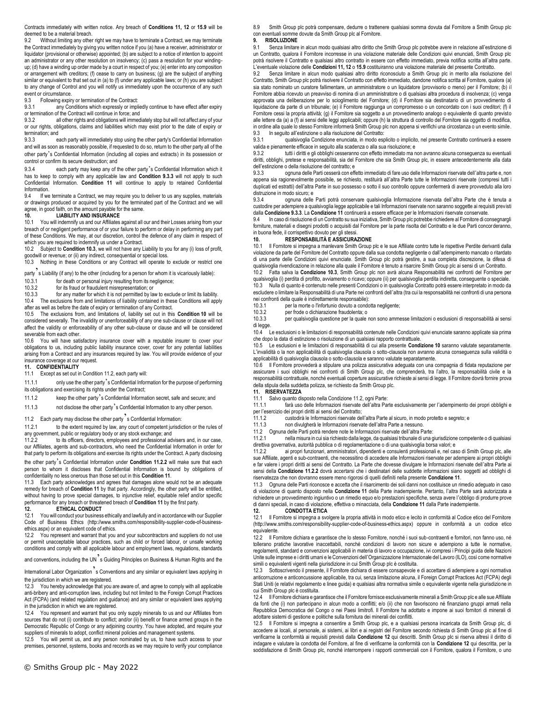Contracts immediately with written notice. Any breach of **Conditions 11, 12** or **15.9** will be deemed to be a material breach.

9.2 Without limiting any other right we may have to terminate a Contract, we may terminate the Contract immediately by giving you written notice if you (a) have a receiver, administrator or liquidator (provisional or otherwise) appointed; (b) are subject to a notice of intention to appoint an administrator or any other resolution on insolvency; (c) pass a resolution for your windingup; (d) have a winding up order made by a court in respect of you; (e) enter into any composition or arrangement with creditors; (f) cease to carry on business; (g) are the subject of anything similar or equivalent to that set out in (a) to (f) under any applicable laws; or (h) you are subject to any change of Control and you will notify us immediately upon the occurrence of any such event or circumstance.

9.3 Following expiry or termination of the Contract:

9.3.1 any Conditions which expressly or impliedly continue to have effect after expiry or termination of the Contract will continue in force; and<br>9.3.2 all other rights and obligations will immed

all other rights and obligations will immediately stop but will not affect any of your or our rights, obligations, claims and liabilities which may exist prior to the date of expiry or termination; and<br>9.3.3

each party will immediately stop using the other party's Confidential Information and will as soon as reasonably possible, if requested to do so, return to the other party all of the other party's Confidential Information (including all copies and extracts) in its possession or control or confirm its secure destruction; and

9.3.4 each party may keep any of the other party's Confidential Information which it has to keep to comply with any applicable law and **Condition 9.3.3** will not apply to such Confidential Information. **Condition 11** will continue to apply to retained Confidential Information.<br>9.4 If we

If we terminate a Contract, we may require you to deliver to us any supplies, materials or drawings produced or acquired by you for the terminated part of the Contract and we will agree, in good faith, on the amount payable for the same.

## **10. LIABILITY AND INSURANCE**

10.1 You will indemnify us and our Affiliates against all our and their Losses arising from your breach of or negligent performance of or your failure to perform or delay in performing any part of these Conditions. We may, at our discretion, control the defence of any claim in respect of which you are required to indemnify us under a Contract.<br>10.2 Subject to Condition 10.3 we will not have any l

Subject to **Condition 10.3**, we will not have any Liability to you for any (i) loss of profit, goodwill or revenue; or (ii) any indirect, consequential or special loss. 10.3 Nothing in these Conditions or any Contract will operate to exclude or restrict one

party  $\acute{}$  s Liability (if any) to the other (including for a person for whom it is vicariously liable):

- 10.3.1 for death or personal injury resulting from its negligence;<br>10.3.2 for its fraud or fraudulent misropresentation: or
- for its fraud or fraudulent misrepresentation; or

10.3.3 for any matter for which it is not permitted by law to exclude or limit its liability. 10.4 The exclusions from and limitations of liability contained in these Conditions will apply after as well as before the date of expiry or termination of any Contract.

10.5 The exclusions from, and limitations of, liability set out in this **Condition 10** will be considered severally. The invalidity or unenforceability of any one sub-clause or clause will not affect the validity or enforceability of any other sub-clause or clause and will be considered severable from each other.

10.6 You will have satisfactory insurance cover with a reputable insurer to cover your obligations to us, including public liability insurance cover, cover for any potential liabilities arising from a Contract and any insurances required by law. You will provide evidence of your insurance coverage at our request.

# **11. CONFIDENTIALITY**

Except as set out in Condition 11.2, each party will:

11.1.1 only use the other party's Confidential Information for the purpose of performing its obligations and exercising its rights under the Contract;

11.1.2 keep the other party's Confidential Information secret, safe and secure; and

11.1.3 not disclose the other party's Confidential Information to any other person.

11.2 Each party may disclose the other party<sup>3</sup>s Confidential Information:<br>11.2.1 to the extent required by law, any court of competent jurisdic to the extent required by law, any court of competent jurisdiction or the rules of any government, public or regulatory body or any stock exchange; and

11.2.2 to its officers, directors, employees and professional advisers and, in our case, our Affiliates, agents and sub-contractors, who need the Confidential Information in order for that party to perform its obligations and exercise its rights under the Contract. A party disclosing the other party's Confidential Information under **Condition 11.2.2** will make sure that each person to whom it discloses that Confidential Information is bound by obligations of

confidentiality no less onerous than those set out in this **Condition 11**. 11.3 Each party acknowledges and agrees that damages alone would not be an adequate

remedy for breach of **Condition 11** by that party. Accordingly, the other party will be entitled, without having to prove special damages, to injunctive relief, equitable relief and/or specific performance for any breach or threatened breach of **Condition 11** by the first party.

**12. ETHICAL CONDUCT**<br>12.1 You will conduct your busines You will conduct your business ethically and lawfully and in accordance with our Supplier Code of Business Ethics (http://www.smiths.com/responsibility-supplier-code-of-businessethics.aspx) or an equivalent code of ethics.

12.2 You represent and warrant that you and your subcontractors and suppliers do not use or permit unacceptable labour practices, such as child or forced labour, or unsafe working conditions and comply with all applicable labour and employment laws, regulations, standards

and conventions, including the UN<sup>7</sup>s Guiding Principles on Business & Human Rights and the

International Labor Organization<sup>7</sup>s Conventions and any similar or equivalent laws applying in the jurisdiction in which we are registered.

12.3 You hereby acknowledge that you are aware of, and agree to comply with all applicable anti-bribery and anti-corruption laws, including but not limited to the Foreign Corrupt Practices Act (FCPA) (and related regulation and guidance) and any similar or equivalent laws applying in the jurisdiction in which we are registered.

12.4 You represent and warrant that you only supply minerals to us and our Affiliates from sources that do not (i) contribute to conflict; and/or (ii) benefit or finance armed groups in the Democratic Republic of Congo or any adjoining country. You have adopted, and require your suppliers of minerals to adopt, conflict mineral policies and management systems.

12.5 You will permit us, and any person nominated by us, to have such access to your premises, personnel, systems, books and records as we may require to verify your compliance 8.9 Smith Group plc potrà compensare, dedurre o trattenere qualsiasi somma dovuta dal Fornitore a Smith Group plc con eventuali somme dovute da Smith Group plc al Fornitore.

## **9. RISOLUZIONE**

Senza limitare in alcun modo qualsiasi altro diritto che Smith Group plc potrebbe avere in relazione all'estinzione di un Contratto, qualora il Fornitore incorresse in una violazione materiale delle Condizioni quivi enunciati, Smith Group plc potrà risolvere il Contratto e qualsiasi altro contratto in essere con effetto immediato, previa notifica scritta all'altra parte. L'eventuale violazione delle **Condizioni 11, 12** o **15.9** costituiranno una violazione materiale del presente Contratto.

9.2 Senza limitare in alcun modo qualsiasi altro diritto riconosciuto a Smith Group plc in merito alla risoluzione del Contratto, Smith Group plc potrà risolvere il Contratto con effetto immediato, dandone notifica scritta al Fornitore, qualora (a) sia stato nominato un curatore fallimentare, un amministratore o un liquidatore (provvisorio o meno) per il Fornitore; (b) i l Fornitore abbia ricevuto un preavviso di nomina di un amministratore o di qualsiasi altra procedura di insolvenza; (c) venga approvata una deliberazione per lo scioglimento del Fornitore; (d) il Fornitore sia destinatario di un provvedimento di liquidazione da parte di un tribunale; (e) il Fornitore raggiunga un compromesso o un concordato con i suoi creditori; (f) il Fornitore cessi la propria attività; (g) il Fornitore sia soggetto a un provvedimento analogo o equivalente di quanto previsto alle lettere da (a) a (f) ai sensi delle leggi applicabili; oppure (h) la struttura di controllo del Fornitore sia oggetto di modifica,<br>in ordine alla quale lo stesso Fornitore informerà Smith Group plc non appena si verif 9.3 In seguito all'estinzione o alla risoluzione del Contratto:

qualsivoglia Condizione enunciata, in modo esplicito o implicito, nel presente Contratto continuerà a essere valida e pienamente efficace in seguito alla scadenza o alla sua risoluzione; e

9.3.2 tutti i diritti e gli obblighi cesseranno con effetto immediato ma non avranno alcuna conseguenza su eventuali diritti, obblighi, pretese e responsabilità, sia del Fornitore che sia Smith Group plc, in essere antecedentemente alla data dell'estinzione o della risoluzione del contratto; e

9.3.3 ognuna delle Parti cesserà con effetto immediato di fare uso delle Informazioni riservate dell'altra parte e, non appena sia ragionevolmente possibile, se richiesto, restituirà all'altra Parte tutte le Informazioni riservate (compresi tutti i duplicati ed estratti) dell'altra Parte in suo possesso o sotto il suo controllo oppure confermerà di avere provveduto alla loro distruzione in modo sicuro; e

9.3.4 ognuna delle Parti potrà conservare qualsivoglia Informazione riservata dell'altra Parte che è tenuta a custodire per adempiere a qualsivoglia legge applicabile e tali Informazioni riservate non saranno soggette ai requisiti previsti dalla **Condizione 9.3.3**. La **Condizione 11** continuerà a essere efficace per le Informazioni riservate conservate.

9.4 In caso di risoluzione di un Contratto su sua iniziativa, Smith Group plc potrebbe richiedere al Fornitore di consegnargli forniture, materiali e disegni prodotti o acquisiti dal Fornitore per la parte risolta del Contratto e le due Parti concorderanno, in buona fede, il corrispettivo dovuto per gli stessi.

## **10. RESPONSABILITÀ E ASSICURAZIONE**

10.1 Il Fornitore si impegna a manlevare Smith Group plc e le sue Affiliate contro tutte le rispettive Perdite derivanti dalla violazione da parte del Fornitore del Contratto oppure dalla sua condotta negligente o dall'adempimento mancato o ritardato di una parte delle Condizioni quivi enunciate. Smith Group plc potrà gestire, a sua completa discrezione, la difesa di qualsivoglia rivendicazione in relazione alla quale il Fornitore è tenuto a risarcire Smith Group plc ai sensi di un Contratto.

10.2 Fatta salva la **Condizione 10.3**, Smith Group plc non avrà alcuna Responsabilità nei confronti del Fornitore per qualsivoglia (i) perdita di profitto, avviamento o ricavo; oppure (ii) per qualsivoglia perdita indiretta, conseguente o speciale. 10.3 Nulla di quanto è contenuto nelle presenti Condizioni o in qualsivoglia Contratto potrà essere interpretato in modo da escludere o limitare la Responsabilità di una Parte nei confronti dell'altra (tra cui la responsabilità nei confronti di una persona nei confronti della quale è indirettamente responsabile):

- 
- 10.3.1 per la morte o l'infortunio dovuto a condotta negligente;<br>10.3.2 per frode o dichiarazione fraudolenta: o

10.3.2 per frode o dichiarazione fraudolenta; o 10.3.3 per qualsivo dia questione per la quale 10.3.3 per qualsivoglia questione per la quale non sono ammesse limitazioni o esclusioni di responsabilità ai sensi di legge.

10.4 Le esclusioni o le limitazioni di responsabilità contenute nelle Condizioni quivi enunciate saranno applicate sia prima che dopo la data di estinzione o risoluzione di un qualsiasi rapporto contrattuale.

10.5 Le esclusioni e le limitazioni di responsabilità di cui alla presente **Condizione 10** saranno valutate separatamente. L'invalidità o la non applicabilità di qualsivoglia clausola o sotto-clausola non avranno alcuna conseguenza sulla validità o applicabilità di qualsivoglia clausola o sotto-clausola e saranno valutate separatamente.

10.6 Il Fornitore provvederà a stipulare una polizza assicurativa adeguata con una compagnia di fidata reputazione per assicurare i suoi obblighi nei confronti di Smith Group plc, che comprenderà, tra l'altro, la responsabilità civile e la responsabilità contrattuale, nonché eventuali coperture assicurative richieste ai sensi di legge. Il Fornitore dovrà fornire prova della stipula della suddetta polizza, se richiesto da Smith Group plc.

# **11. RISERVATEZZA**

11.1 Salvo quanto disposto nella Condizione 11.2, ogni Parte:

tarà uso delle Informazioni riservate dell'altra Parte esclusivamente per l'adempimento dei propri obblighi e per l'esercizio dei propri diritti ai sensi del Contratto;

11.1.2 custodirà le Informazioni riservate dell'altra Parte al sicuro, in modo protetto e segreto; e

11.1.3 non divulgherà le Informazioni riservate dell'altra Parte a nessuno.

11.2 Ognuna delle Parti potrà rendere note le Informazioni riservate dell'altra Parte:

nella misura in cui sia richiesto dalla legge, da qualsiasi tribunale di una giurisdizione competente o di qualsiasi direttiva governativa, autorità pubblica o di regolamentazione o di una qualsivoglia borsa valori; e

11.2.2 ai propri funzionari, amministratori, dipendenti e consulenti professionali e, nel caso di Smith Group plc, alle sue Affiliate, agenti e sub-contraenti, che necessitino di accedere alle Informazioni riservate per adempiere ai propri obblighi e far valere i propri diritti ai sensi del Contratto. La Parte che dovesse divulgare le Informazioni riservate dell'altra Parte ai sensi della **Condizione 11.2.2** dovrà accertarsi che i destinatari delle suddette informazioni siano soggetti ad obblighi di riservatezza che non dovranno essere meno rigorosi di quelli definiti nella presente **Condizione 11**.

11.3 Ognuna delle Parti riconosce e accetta che il risarcimento dei soli danni non costituisce un rimedio adeguato in caso di violazione di quanto disposto nella **Condizione 11** della Parte inadempiente. Pertanto, l'altra Parte sarà autorizzata a richiedere un provvedimento ingiuntivo o un rimedio equo e/o prestazioni specifiche, senza avere l'obbligo di produrre prove di danni speciali, in caso di violazione, effettiva o minacciata, della **Condizione 11** dalla Parte inadempiente. **12. CONDOTTA ETICA**

#### 12.1 Il Fornitore si impegna a svolgere la propria attività in modo etico e lecito in conformità al Codice etico del Fornitore (http://www.smiths.com/responsibility-supplier-code-of-business-ethics.aspx) oppure in conformità a un codice etico equivalente.

12.2 Il Fornitore dichiara e garantisce che lo stesso Fornitore, nonché i suoi sub-contraenti e fornitori, non fanno uso, né tollerano pratiche lavorative inaccettabili, nonché condizioni di lavoro non sicure e adempiono a tutte le normative, regolamenti, standard e convenzioni applicabili in materia di lavoro e occupazione, ivi compresi i Principi guida delle Nazioni Unite sulle imprese e i diritti umani e le Convenzioni dell'Organizzazione Internazionale del Lavoro (ILO), così come normative simili o equivalenti vigenti nella giurisdizione in cui Smith Group plc è costituita.

12.3 Sottoscrivendo il presente, il Fornitore dichiara di essere consapevole e di accettare di adempiere a ogni normativa anticorruzione e anticoncussione applicabile, tra cui, senza limitazione alcuna, il Foreign Corrupt Practices Act (FCPA) degli Stati Uniti (e relativi regolamento e linee guida) e qualsiasi altra normativa simile o equivalente vigente nella giurisdizione in cui Smith Group plc è costituita.

12.4 Il Fornitore dichiara e garantisce che il Fornitore fornisce esclusivamente minerali a Smith Group plc e alle sue Affiliate da fonti che (i) non partecipano in alcun modo a conflitti; e/o (ii) che non favoriscono né finanziano gruppi armati nella Repubblica Democratica del Congo o nei Paesi limitrofi. Il Fornitore ha adottato e impone ai suoi fornitori di minerali di adottare sistemi di gestione e politiche sulla fornitura dei minerali dei conflitti.

12.5 Il Fornitore si impegna a consentire a Smith Group plc, e a qualsiasi persona incaricata da Smith Group plc, di accedere ai locali, al personale, ai sistemi, ai libri e ai registri del Fornitore secondo richiesta di Smith Group plc al fine di verificarne la conformità ai requisiti previsti dalla **Condizione 12** qui descritti. Smith Group plc si riserva altresì il diritto di indagare e valutare la condotta del Fornitore, al fine di verificarne la conformità con la **Condizione 12** qui descritta, per la soddisfazione di Smith Group plc, nonché interrompere i rapporti commerciali con il Fornitore, qualora il Fornitore, o uno